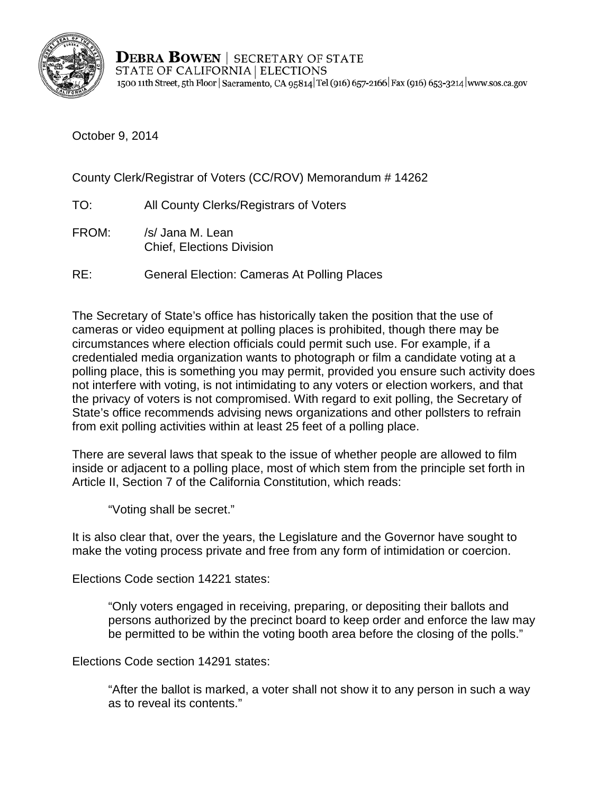

**DEBRA BOWEN** | SECRETARY OF STATE STATE OF CALIFORNIA | ELECTIONS 1500 11th Street, 5th Floor | Sacramento, CA 95814 | Tel (916) 657-2166 | Fax (916) 653-3214 | www.sos.ca.gov

October 9, 2014

County Clerk/Registrar of Voters (CC/ROV) Memorandum # 14262

- TO: All County Clerks/Registrars of Voters
- FROM: /s/ Jana M. Lean Chief, Elections Division
- RE: General Election: Cameras At Polling Places

The Secretary of State's office has historically taken the position that the use of cameras or video equipment at polling places is prohibited, though there may be circumstances where election officials could permit such use. For example, if a credentialed media organization wants to photograph or film a candidate voting at a polling place, this is something you may permit, provided you ensure such activity does not interfere with voting, is not intimidating to any voters or election workers, and that the privacy of voters is not compromised. With regard to exit polling, the Secretary of State's office recommends advising news organizations and other pollsters to refrain from exit polling activities within at least 25 feet of a polling place.

There are several laws that speak to the issue of whether people are allowed to film inside or adjacent to a polling place, most of which stem from the principle set forth in Article II, Section 7 of the California Constitution, which reads:

"Voting shall be secret."

It is also clear that, over the years, the Legislature and the Governor have sought to make the voting process private and free from any form of intimidation or coercion.

Elections Code section 14221 states:

"Only voters engaged in receiving, preparing, or depositing their ballots and persons authorized by the precinct board to keep order and enforce the law may be permitted to be within the voting booth area before the closing of the polls."

Elections Code section 14291 states:

"After the ballot is marked, a voter shall not show it to any person in such a way as to reveal its contents."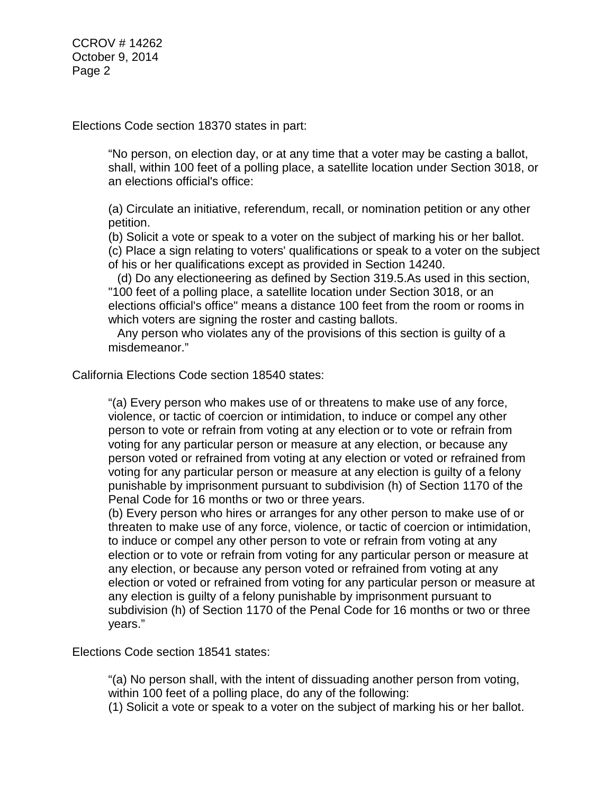CCROV # 14262 October 9, 2014 Page 2

Elections Code section 18370 states in part:

"No person, on election day, or at any time that a voter may be casting a ballot, shall, within 100 feet of a polling place, a satellite location under Section 3018, or an elections official's office:

(a) Circulate an initiative, referendum, recall, or nomination petition or any other petition.

(b) Solicit a vote or speak to a voter on the subject of marking his or her ballot. (c) Place a sign relating to voters' qualifications or speak to a voter on the subject of his or her qualifications except as provided in Section 14240.

(d) Do any electioneering as defined by Section 319.5.As used in this section, "100 feet of a polling place, a satellite location under Section 3018, or an elections official's office" means a distance 100 feet from the room or rooms in which voters are signing the roster and casting ballots.

Any person who violates any of the provisions of this section is guilty of a misdemeanor."

California Elections Code section 18540 states:

"(a) Every person who makes use of or threatens to make use of any force, violence, or tactic of coercion or intimidation, to induce or compel any other person to vote or refrain from voting at any election or to vote or refrain from voting for any particular person or measure at any election, or because any person voted or refrained from voting at any election or voted or refrained from voting for any particular person or measure at any election is guilty of a felony punishable by imprisonment pursuant to subdivision (h) of Section 1170 of the Penal Code for 16 months or two or three years.

(b) Every person who hires or arranges for any other person to make use of or threaten to make use of any force, violence, or tactic of coercion or intimidation, to induce or compel any other person to vote or refrain from voting at any election or to vote or refrain from voting for any particular person or measure at any election, or because any person voted or refrained from voting at any election or voted or refrained from voting for any particular person or measure at any election is guilty of a felony punishable by imprisonment pursuant to subdivision (h) of Section 1170 of the Penal Code for 16 months or two or three years."

Elections Code section 18541 states:

"(a) No person shall, with the intent of dissuading another person from voting, within 100 feet of a polling place, do any of the following:

(1) Solicit a vote or speak to a voter on the subject of marking his or her ballot.